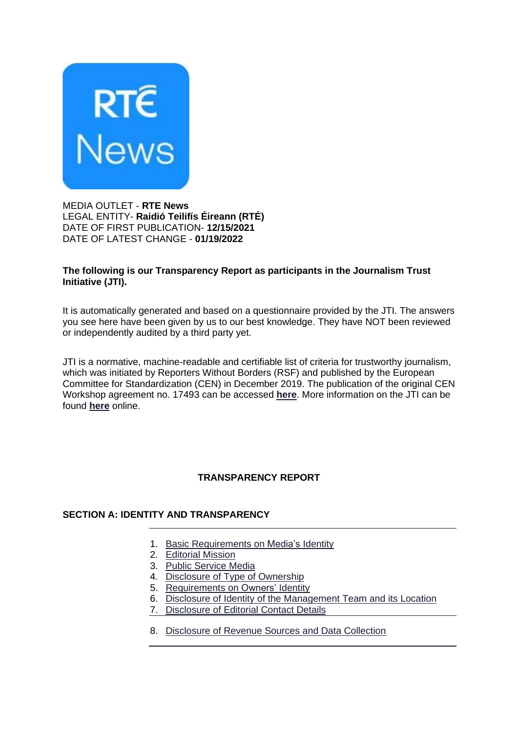

MEDIA OUTLET - **RTE News** LEGAL ENTITY- **Raidió Teilifís Éireann (RTÉ)** DATE OF FIRST PUBLICATION- **12/15/2021** DATE OF LATEST CHANGE - **01/19/2022**

### **The following is our Transparency Report as participants in the Journalism Trust Initiative (JTI).**

It is automatically generated and based on a questionnaire provided by the JTI. The answers you see here have been given by us to our best knowledge. They have NOT been reviewed or independently audited by a third party yet.

JTI is a normative, machine-readable and certifiable list of criteria for trustworthy journalism, which was initiated by Reporters Without Borders (RSF) and published by the European Committee for Standardization (CEN) in December 2019. The publication of the original CEN Workshop agreement no. 17493 can be accessed **[here](https://www.jti-app.com/footer/cwa)**. More information on the JTI can be found **[here](https://www.journalismtrustinitiative.org/)** online.

# **TRANSPARENCY REPORT**

### **SECTION A: IDENTITY AND TRANSPARENCY**

- 1. Basic [Requirements](https://www.jti-app.com/report/l2Xqg5RKQ8e3dVG0/1) on Media's Identity
- 2. [Editorial](https://www.jti-app.com/report/l2Xqg5RKQ8e3dVG0/2) Mission
- 3. Public [Service](https://www.jti-app.com/report/l2Xqg5RKQ8e3dVG0/3) Media
- 4. Disclosure of Type of [Ownership](https://www.jti-app.com/report/l2Xqg5RKQ8e3dVG0/4)
- 5. [Requirements](https://www.jti-app.com/report/l2Xqg5RKQ8e3dVG0/5) on Owners' Identity
- 6. Disclosure of Identity of the [Management](https://www.jti-app.com/report/l2Xqg5RKQ8e3dVG0/6) Team and its Location
- 7. [Disclosure](https://www.jti-app.com/report/l2Xqg5RKQ8e3dVG0/7) of Editorial Contact Details
- 8. [Disclosure](https://www.jti-app.com/report/l2Xqg5RKQ8e3dVG0/8) of Revenue Sources and Data Collection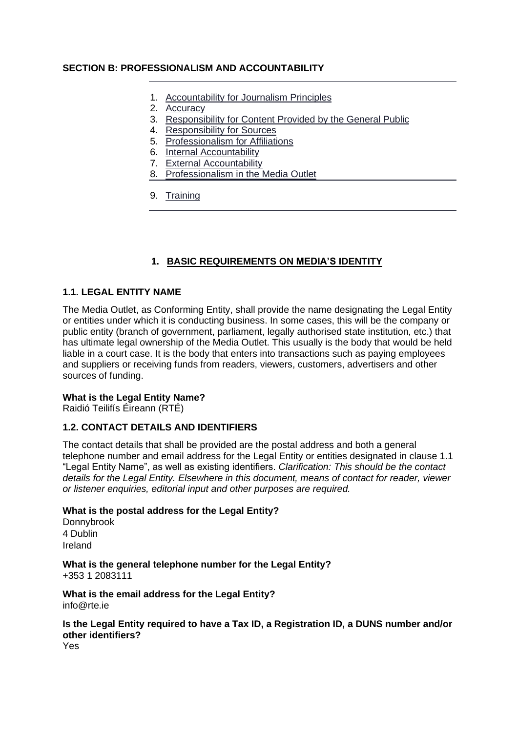### **SECTION B: PROFESSIONALISM AND ACCOUNTABILITY**

- 1. [Accountability](https://www.jti-app.com/report/l2Xqg5RKQ8e3dVG0/9) for Journalism Principles
- 2. [Accuracy](https://www.jti-app.com/report/l2Xqg5RKQ8e3dVG0/10)
- 3. [Responsibility](https://www.jti-app.com/report/l2Xqg5RKQ8e3dVG0/11) for Content Provided by the General Public
- 4. [Responsibility](https://www.jti-app.com/report/l2Xqg5RKQ8e3dVG0/12) for Sources
- 5. [Professionalism](https://www.jti-app.com/report/l2Xqg5RKQ8e3dVG0/13) for Affiliations
- 6. Internal [Accountability](https://www.jti-app.com/report/l2Xqg5RKQ8e3dVG0/14)
- 7. External [Accountability](https://www.jti-app.com/report/l2Xqg5RKQ8e3dVG0/15)
- 8. [Professionalism](https://www.jti-app.com/report/l2Xqg5RKQ8e3dVG0/16) in the Media Outlet
- 9. [Training](https://www.jti-app.com/report/l2Xqg5RKQ8e3dVG0/17)

## **1. BASIC REQUIREMENTS ON MEDIA'S IDENTITY**

### **1.1. LEGAL ENTITY NAME**

The Media Outlet, as Conforming Entity, shall provide the name designating the Legal Entity or entities under which it is conducting business. In some cases, this will be the company or public entity (branch of government, parliament, legally authorised state institution, etc.) that has ultimate legal ownership of the Media Outlet. This usually is the body that would be held liable in a court case. It is the body that enters into transactions such as paying employees and suppliers or receiving funds from readers, viewers, customers, advertisers and other sources of funding.

### **What is the Legal Entity Name?**

Raidió Teilifís Éireann (RTÉ)

### **1.2. CONTACT DETAILS AND IDENTIFIERS**

The contact details that shall be provided are the postal address and both a general telephone number and email address for the Legal Entity or entities designated in clause 1.1 "Legal Entity Name", as well as existing identifiers. *Clarification: This should be the contact details for the Legal Entity. Elsewhere in this document, means of contact for reader, viewer or listener enquiries, editorial input and other purposes are required.*

### **What is the postal address for the Legal Entity?**

Donnybrook 4 Dublin Ireland

**What is the general telephone number for the Legal Entity?** +353 1 2083111

**What is the email address for the Legal Entity?** info@rte.ie

## **Is the Legal Entity required to have a Tax ID, a Registration ID, a DUNS number and/or other identifiers?**

Yes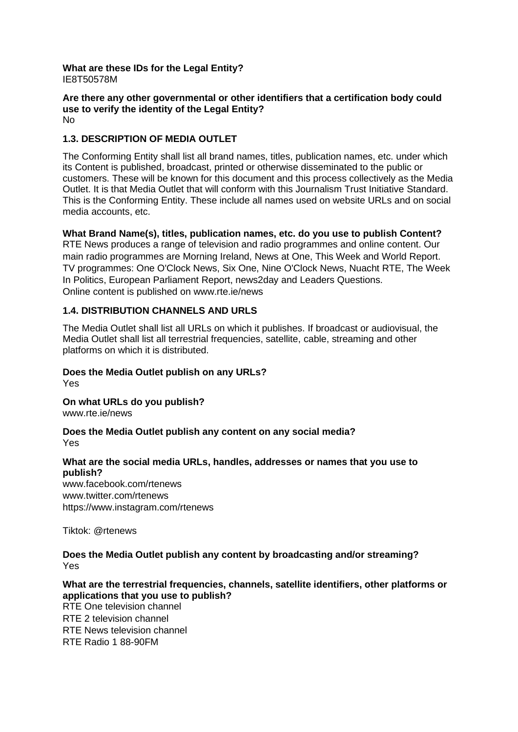#### **What are these IDs for the Legal Entity?** IE8T50578M

#### **Are there any other governmental or other identifiers that a certification body could use to verify the identity of the Legal Entity?** No

### **1.3. DESCRIPTION OF MEDIA OUTLET**

The Conforming Entity shall list all brand names, titles, publication names, etc. under which its Content is published, broadcast, printed or otherwise disseminated to the public or customers. These will be known for this document and this process collectively as the Media Outlet. It is that Media Outlet that will conform with this Journalism Trust Initiative Standard. This is the Conforming Entity. These include all names used on website URLs and on social media accounts, etc.

### **What Brand Name(s), titles, publication names, etc. do you use to publish Content?**

RTE News produces a range of television and radio programmes and online content. Our main radio programmes are Morning Ireland, News at One, This Week and World Report. TV programmes: One O'Clock News, Six One, Nine O'Clock News, Nuacht RTE, The Week In Politics, European Parliament Report, news2day and Leaders Questions. Online content is published on www.rte.ie/news

### **1.4. DISTRIBUTION CHANNELS AND URLS**

The Media Outlet shall list all URLs on which it publishes. If broadcast or audiovisual, the Media Outlet shall list all terrestrial frequencies, satellite, cable, streaming and other platforms on which it is distributed.

#### **Does the Media Outlet publish on any URLs?** Yes

**On what URLs do you publish?** www.rte.ie/news

#### **Does the Media Outlet publish any content on any social media?** Yes

### **What are the social media URLs, handles, addresses or names that you use to publish?**

www.facebook.com/rtenews www.twitter.com/rtenews https://www.instagram.com/rtenews

Tiktok: @rtenews

### **Does the Media Outlet publish any content by broadcasting and/or streaming?** Yes

**What are the terrestrial frequencies, channels, satellite identifiers, other platforms or applications that you use to publish?** RTE One television channel

RTE 2 television channel RTE News television channel RTE Radio 1 88-90FM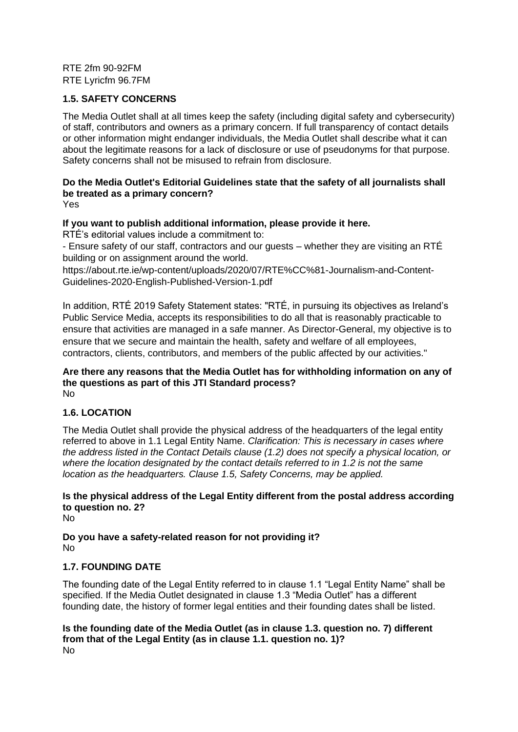RTE 2fm 90-92FM RTE Lyricfm 96.7FM

### **1.5. SAFETY CONCERNS**

The Media Outlet shall at all times keep the safety (including digital safety and cybersecurity) of staff, contributors and owners as a primary concern. If full transparency of contact details or other information might endanger individuals, the Media Outlet shall describe what it can about the legitimate reasons for a lack of disclosure or use of pseudonyms for that purpose. Safety concerns shall not be misused to refrain from disclosure.

## **Do the Media Outlet's Editorial Guidelines state that the safety of all journalists shall be treated as a primary concern?**

Yes

### **If you want to publish additional information, please provide it here.**

RTÉ's editorial values include a commitment to:

- Ensure safety of our staff, contractors and our guests – whether they are visiting an RTÉ building or on assignment around the world.

https://about.rte.ie/wp-content/uploads/2020/07/RTE%CC%81-Journalism-and-Content-Guidelines-2020-English-Published-Version-1.pdf

In addition, RTÉ 2019 Safety Statement states: "RTÉ, in pursuing its objectives as Ireland's Public Service Media, accepts its responsibilities to do all that is reasonably practicable to ensure that activities are managed in a safe manner. As Director-General, my objective is to ensure that we secure and maintain the health, safety and welfare of all employees, contractors, clients, contributors, and members of the public affected by our activities."

#### **Are there any reasons that the Media Outlet has for withholding information on any of the questions as part of this JTI Standard process?** No

### **1.6. LOCATION**

The Media Outlet shall provide the physical address of the headquarters of the legal entity referred to above in 1.1 Legal Entity Name. *Clarification: This is necessary in cases where the address listed in the Contact Details clause (1.2) does not specify a physical location, or where the location designated by the contact details referred to in 1.2 is not the same location as the headquarters. Clause 1.5, Safety Concerns, may be applied.*

# **Is the physical address of the Legal Entity different from the postal address according to question no. 2?**

No

**Do you have a safety-related reason for not providing it?** No

### **1.7. FOUNDING DATE**

The founding date of the Legal Entity referred to in clause 1.1 "Legal Entity Name" shall be specified. If the Media Outlet designated in clause 1.3 "Media Outlet" has a different founding date, the history of former legal entities and their founding dates shall be listed.

**Is the founding date of the Media Outlet (as in clause 1.3. question no. 7) different from that of the Legal Entity (as in clause 1.1. question no. 1)?** No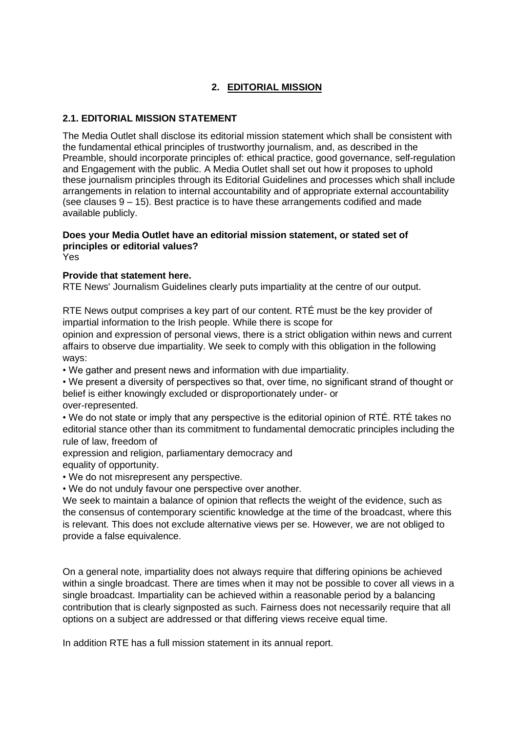# **2. EDITORIAL MISSION**

# **2.1. EDITORIAL MISSION STATEMENT**

The Media Outlet shall disclose its editorial mission statement which shall be consistent with the fundamental ethical principles of trustworthy journalism, and, as described in the Preamble, should incorporate principles of: ethical practice, good governance, self-regulation and Engagement with the public. A Media Outlet shall set out how it proposes to uphold these journalism principles through its Editorial Guidelines and processes which shall include arrangements in relation to internal accountability and of appropriate external accountability (see clauses  $9 - 15$ ). Best practice is to have these arrangements codified and made available publicly.

#### **Does your Media Outlet have an editorial mission statement, or stated set of principles or editorial values?** Yes

### **Provide that statement here.**

RTE News' Journalism Guidelines clearly puts impartiality at the centre of our output.

RTE News output comprises a key part of our content. RTÉ must be the key provider of impartial information to the Irish people. While there is scope for

opinion and expression of personal views, there is a strict obligation within news and current affairs to observe due impartiality. We seek to comply with this obligation in the following ways:

• We gather and present news and information with due impartiality.

• We present a diversity of perspectives so that, over time, no significant strand of thought or belief is either knowingly excluded or disproportionately under- or over-represented.

• We do not state or imply that any perspective is the editorial opinion of RTÉ. RTÉ takes no editorial stance other than its commitment to fundamental democratic principles including the rule of law, freedom of

expression and religion, parliamentary democracy and equality of opportunity.

• We do not misrepresent any perspective.

• We do not unduly favour one perspective over another.

We seek to maintain a balance of opinion that reflects the weight of the evidence, such as the consensus of contemporary scientific knowledge at the time of the broadcast, where this is relevant. This does not exclude alternative views per se. However, we are not obliged to provide a false equivalence.

On a general note, impartiality does not always require that differing opinions be achieved within a single broadcast. There are times when it may not be possible to cover all views in a single broadcast. Impartiality can be achieved within a reasonable period by a balancing contribution that is clearly signposted as such. Fairness does not necessarily require that all options on a subject are addressed or that differing views receive equal time.

In addition RTE has a full mission statement in its annual report.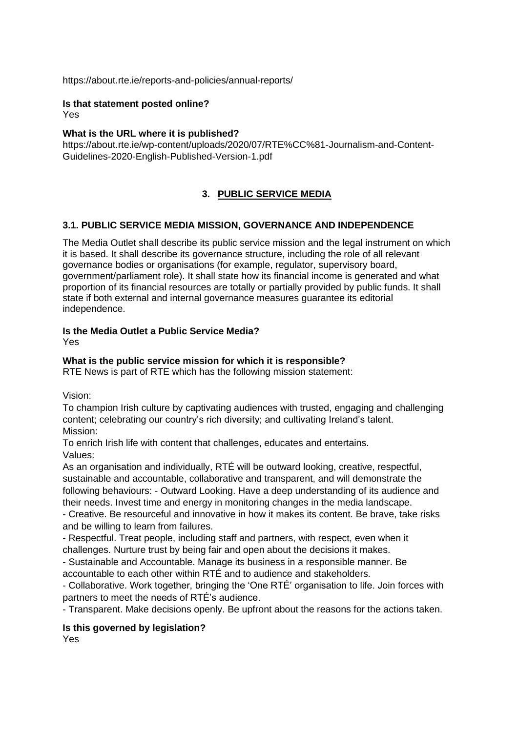https://about.rte.ie/reports-and-policies/annual-reports/

#### **Is that statement posted online?** Yes

### **What is the URL where it is published?**

https://about.rte.ie/wp-content/uploads/2020/07/RTE%CC%81-Journalism-and-Content-Guidelines-2020-English-Published-Version-1.pdf

## **3. PUBLIC SERVICE MEDIA**

### **3.1. PUBLIC SERVICE MEDIA MISSION, GOVERNANCE AND INDEPENDENCE**

The Media Outlet shall describe its public service mission and the legal instrument on which it is based. It shall describe its governance structure, including the role of all relevant governance bodies or organisations (for example, regulator, supervisory board, government/parliament role). It shall state how its financial income is generated and what proportion of its financial resources are totally or partially provided by public funds. It shall state if both external and internal governance measures guarantee its editorial independence.

### **Is the Media Outlet a Public Service Media?**

Yes

### **What is the public service mission for which it is responsible?**

RTE News is part of RTE which has the following mission statement:

Vision:

To champion Irish culture by captivating audiences with trusted, engaging and challenging content; celebrating our country's rich diversity; and cultivating Ireland's talent. Mission:

To enrich Irish life with content that challenges, educates and entertains. Values:

As an organisation and individually, RTÉ will be outward looking, creative, respectful, sustainable and accountable, collaborative and transparent, and will demonstrate the following behaviours: - Outward Looking. Have a deep understanding of its audience and their needs. Invest time and energy in monitoring changes in the media landscape.

- Creative. Be resourceful and innovative in how it makes its content. Be brave, take risks and be willing to learn from failures.

- Respectful. Treat people, including staff and partners, with respect, even when it challenges. Nurture trust by being fair and open about the decisions it makes.

- Sustainable and Accountable. Manage its business in a responsible manner. Be accountable to each other within RTÉ and to audience and stakeholders.

- Collaborative. Work together, bringing the 'One RTÉ' organisation to life. Join forces with partners to meet the needs of RTÉ's audience.

- Transparent. Make decisions openly. Be upfront about the reasons for the actions taken.

**Is this governed by legislation?**

Yes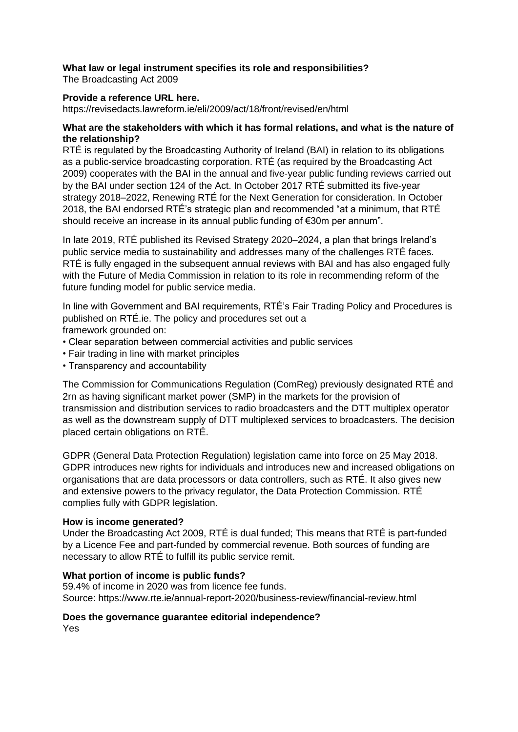### **What law or legal instrument specifies its role and responsibilities?**

The Broadcasting Act 2009

### **Provide a reference URL here.**

https://revisedacts.lawreform.ie/eli/2009/act/18/front/revised/en/html

#### **What are the stakeholders with which it has formal relations, and what is the nature of the relationship?**

RTÉ is regulated by the Broadcasting Authority of Ireland (BAI) in relation to its obligations as a public-service broadcasting corporation. RTÉ (as required by the Broadcasting Act 2009) cooperates with the BAI in the annual and five-year public funding reviews carried out by the BAI under section 124 of the Act. In October 2017 RTÉ submitted its five-year strategy 2018–2022, Renewing RTÉ for the Next Generation for consideration. In October 2018, the BAI endorsed RTÉ's strategic plan and recommended "at a minimum, that RTÉ should receive an increase in its annual public funding of €30m per annum".

In late 2019, RTÉ published its Revised Strategy 2020–2024, a plan that brings Ireland's public service media to sustainability and addresses many of the challenges RTÉ faces. RTÉ is fully engaged in the subsequent annual reviews with BAI and has also engaged fully with the Future of Media Commission in relation to its role in recommending reform of the future funding model for public service media.

In line with Government and BAI requirements, RTÉ's Fair Trading Policy and Procedures is published on RTÉ.ie. The policy and procedures set out a framework grounded on:

- Clear separation between commercial activities and public services
- Fair trading in line with market principles
- Transparency and accountability

The Commission for Communications Regulation (ComReg) previously designated RTÉ and 2rn as having significant market power (SMP) in the markets for the provision of transmission and distribution services to radio broadcasters and the DTT multiplex operator as well as the downstream supply of DTT multiplexed services to broadcasters. The decision placed certain obligations on RTÉ.

GDPR (General Data Protection Regulation) legislation came into force on 25 May 2018. GDPR introduces new rights for individuals and introduces new and increased obligations on organisations that are data processors or data controllers, such as RTÉ. It also gives new and extensive powers to the privacy regulator, the Data Protection Commission. RTÉ complies fully with GDPR legislation.

#### **How is income generated?**

Under the Broadcasting Act 2009, RTÉ is dual funded; This means that RTÉ is part-funded by a Licence Fee and part-funded by commercial revenue. Both sources of funding are necessary to allow RTÉ to fulfill its public service remit.

#### **What portion of income is public funds?**

59.4% of income in 2020 was from licence fee funds. Source: https://www.rte.ie/annual-report-2020/business-review/financial-review.html

# **Does the governance guarantee editorial independence?**

Yes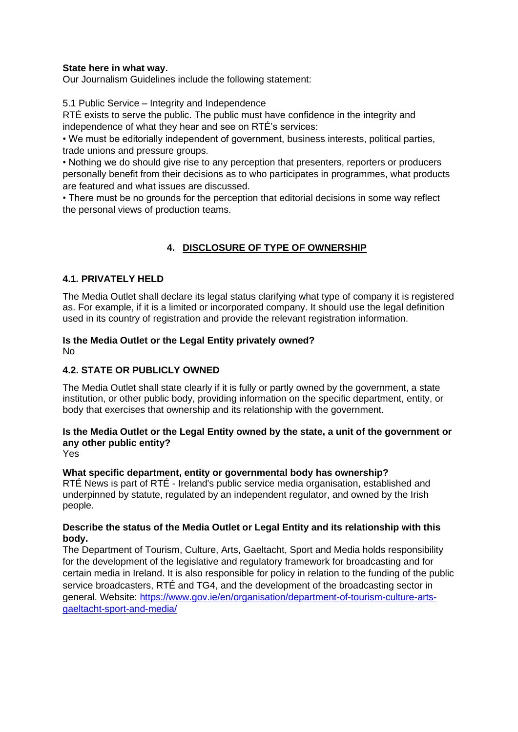### **State here in what way.**

Our Journalism Guidelines include the following statement:

5.1 Public Service – Integrity and Independence

RTÉ exists to serve the public. The public must have confidence in the integrity and independence of what they hear and see on RTÉ's services:

• We must be editorially independent of government, business interests, political parties, trade unions and pressure groups.

• Nothing we do should give rise to any perception that presenters, reporters or producers personally benefit from their decisions as to who participates in programmes, what products are featured and what issues are discussed.

• There must be no grounds for the perception that editorial decisions in some way reflect the personal views of production teams.

# **4. DISCLOSURE OF TYPE OF OWNERSHIP**

### **4.1. PRIVATELY HELD**

The Media Outlet shall declare its legal status clarifying what type of company it is registered as. For example, if it is a limited or incorporated company. It should use the legal definition used in its country of registration and provide the relevant registration information.

#### **Is the Media Outlet or the Legal Entity privately owned?** No

# **4.2. STATE OR PUBLICLY OWNED**

The Media Outlet shall state clearly if it is fully or partly owned by the government, a state institution, or other public body, providing information on the specific department, entity, or body that exercises that ownership and its relationship with the government.

## **Is the Media Outlet or the Legal Entity owned by the state, a unit of the government or any other public entity?**

Yes

### **What specific department, entity or governmental body has ownership?**

RTÉ News is part of RTÉ - Ireland's public service media organisation, established and underpinned by statute, regulated by an independent regulator, and owned by the Irish people.

### **Describe the status of the Media Outlet or Legal Entity and its relationship with this body.**

The Department of Tourism, Culture, Arts, Gaeltacht, Sport and Media holds responsibility for the development of the legislative and regulatory framework for broadcasting and for certain media in Ireland. It is also responsible for policy in relation to the funding of the public service broadcasters, RTÉ and TG4, and the development of the broadcasting sector in general. Website: [https://www.gov.ie/en/organisation/department-of-tourism-culture-arts](https://www.gov.ie/en/organisation/department-of-tourism-culture-arts-gaeltacht-sport-and-media/)[gaeltacht-sport-and-media/](https://www.gov.ie/en/organisation/department-of-tourism-culture-arts-gaeltacht-sport-and-media/)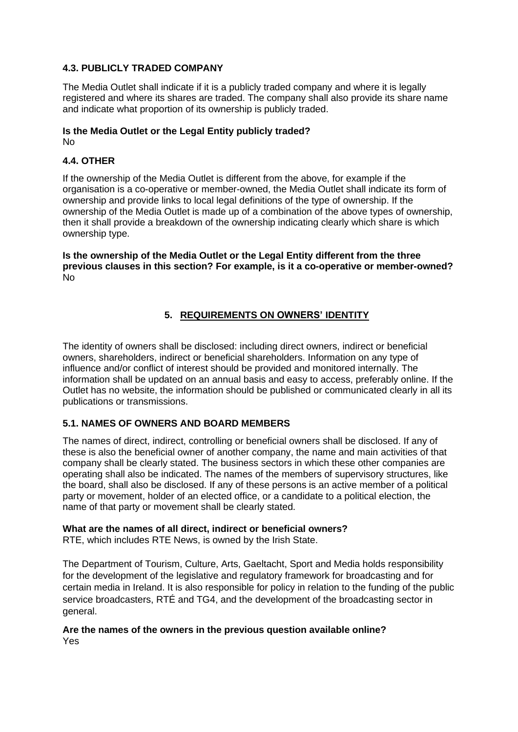### **4.3. PUBLICLY TRADED COMPANY**

The Media Outlet shall indicate if it is a publicly traded company and where it is legally registered and where its shares are traded. The company shall also provide its share name and indicate what proportion of its ownership is publicly traded.

#### **Is the Media Outlet or the Legal Entity publicly traded?** No

### **4.4. OTHER**

If the ownership of the Media Outlet is different from the above, for example if the organisation is a co-operative or member-owned, the Media Outlet shall indicate its form of ownership and provide links to local legal definitions of the type of ownership. If the ownership of the Media Outlet is made up of a combination of the above types of ownership, then it shall provide a breakdown of the ownership indicating clearly which share is which ownership type.

**Is the ownership of the Media Outlet or the Legal Entity different from the three previous clauses in this section? For example, is it a co-operative or member-owned?** No

### **5. REQUIREMENTS ON OWNERS' IDENTITY**

The identity of owners shall be disclosed: including direct owners, indirect or beneficial owners, shareholders, indirect or beneficial shareholders. Information on any type of influence and/or conflict of interest should be provided and monitored internally. The information shall be updated on an annual basis and easy to access, preferably online. If the Outlet has no website, the information should be published or communicated clearly in all its publications or transmissions.

### **5.1. NAMES OF OWNERS AND BOARD MEMBERS**

The names of direct, indirect, controlling or beneficial owners shall be disclosed. If any of these is also the beneficial owner of another company, the name and main activities of that company shall be clearly stated. The business sectors in which these other companies are operating shall also be indicated. The names of the members of supervisory structures, like the board, shall also be disclosed. If any of these persons is an active member of a political party or movement, holder of an elected office, or a candidate to a political election, the name of that party or movement shall be clearly stated.

### **What are the names of all direct, indirect or beneficial owners?**

RTE, which includes RTE News, is owned by the Irish State.

The Department of Tourism, Culture, Arts, Gaeltacht, Sport and Media holds responsibility for the development of the legislative and regulatory framework for broadcasting and for certain media in Ireland. It is also responsible for policy in relation to the funding of the public service broadcasters, RTÉ and TG4, and the development of the broadcasting sector in general.

#### **Are the names of the owners in the previous question available online?** Yes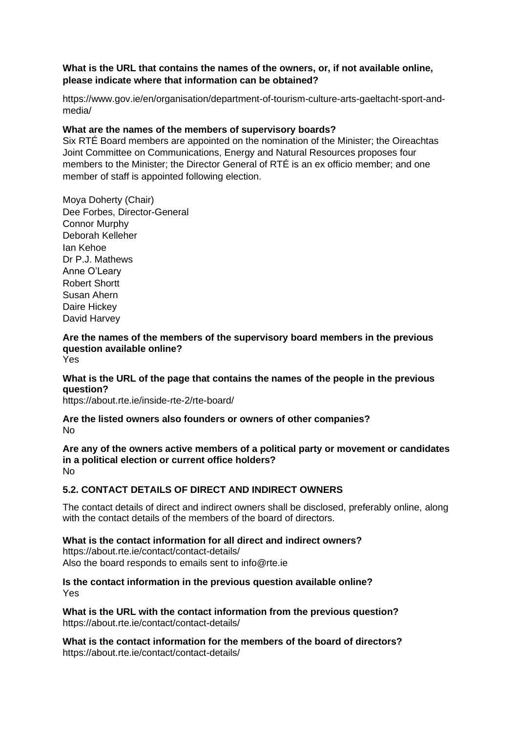### **What is the URL that contains the names of the owners, or, if not available online, please indicate where that information can be obtained?**

https://www.gov.ie/en/organisation/department-of-tourism-culture-arts-gaeltacht-sport-andmedia/

### **What are the names of the members of supervisory boards?**

Six RTÉ Board members are appointed on the nomination of the Minister; the Oireachtas Joint Committee on Communications, Energy and Natural Resources proposes four members to the Minister; the Director General of RTÉ is an ex officio member; and one member of staff is appointed following election.

Moya Doherty (Chair) Dee Forbes, Director-General Connor Murphy Deborah Kelleher Ian Kehoe Dr P.J. Mathews Anne O'Leary Robert Shortt Susan Ahern Daire Hickey David Harvey

# **Are the names of the members of the supervisory board members in the previous question available online?**

### Yes

### **What is the URL of the page that contains the names of the people in the previous question?**

https://about.rte.ie/inside-rte-2/rte-board/

#### **Are the listed owners also founders or owners of other companies?** No

**Are any of the owners active members of a political party or movement or candidates in a political election or current office holders?** No

### **5.2. CONTACT DETAILS OF DIRECT AND INDIRECT OWNERS**

The contact details of direct and indirect owners shall be disclosed, preferably online, along with the contact details of the members of the board of directors.

# **What is the contact information for all direct and indirect owners?**

https://about.rte.ie/contact/contact-details/ Also the board responds to emails sent to info@rte.ie

### **Is the contact information in the previous question available online?** Yes

**What is the URL with the contact information from the previous question?** https://about.rte.ie/contact/contact-details/

**What is the contact information for the members of the board of directors?** https://about.rte.ie/contact/contact-details/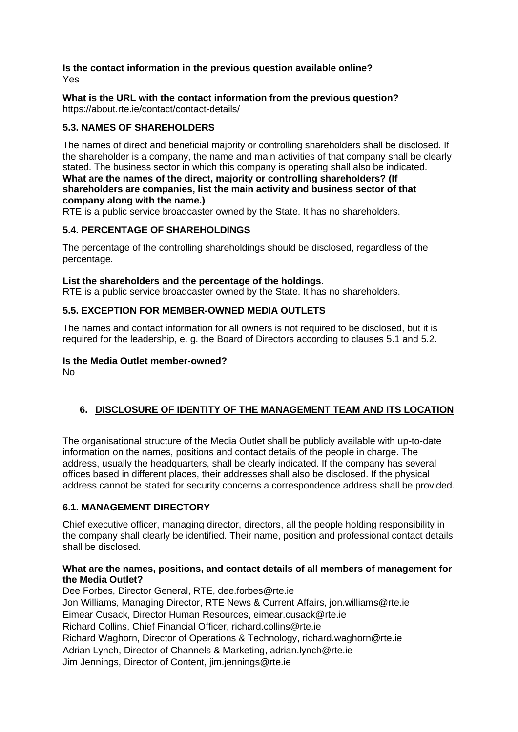#### **Is the contact information in the previous question available online?** Yes

#### **What is the URL with the contact information from the previous question?** https://about.rte.ie/contact/contact-details/

## **5.3. NAMES OF SHAREHOLDERS**

The names of direct and beneficial majority or controlling shareholders shall be disclosed. If the shareholder is a company, the name and main activities of that company shall be clearly stated. The business sector in which this company is operating shall also be indicated. **What are the names of the direct, majority or controlling shareholders? (If shareholders are companies, list the main activity and business sector of that company along with the name.)**

RTE is a public service broadcaster owned by the State. It has no shareholders.

### **5.4. PERCENTAGE OF SHAREHOLDINGS**

The percentage of the controlling shareholdings should be disclosed, regardless of the percentage.

### **List the shareholders and the percentage of the holdings.**

RTE is a public service broadcaster owned by the State. It has no shareholders.

### **5.5. EXCEPTION FOR MEMBER-OWNED MEDIA OUTLETS**

The names and contact information for all owners is not required to be disclosed, but it is required for the leadership, e. g. the Board of Directors according to clauses 5.1 and 5.2.

### **Is the Media Outlet member-owned?**

No

# **6. DISCLOSURE OF IDENTITY OF THE MANAGEMENT TEAM AND ITS LOCATION**

The organisational structure of the Media Outlet shall be publicly available with up-to-date information on the names, positions and contact details of the people in charge. The address, usually the headquarters, shall be clearly indicated. If the company has several offices based in different places, their addresses shall also be disclosed. If the physical address cannot be stated for security concerns a correspondence address shall be provided.

### **6.1. MANAGEMENT DIRECTORY**

Chief executive officer, managing director, directors, all the people holding responsibility in the company shall clearly be identified. Their name, position and professional contact details shall be disclosed.

### **What are the names, positions, and contact details of all members of management for the Media Outlet?**

Dee Forbes, Director General, RTE, dee.forbes@rte.ie Jon Williams, Managing Director, RTE News & Current Affairs, jon.williams@rte.ie Eimear Cusack, Director Human Resources, eimear.cusack@rte.ie Richard Collins, Chief Financial Officer, richard.collins@rte.ie Richard Waghorn, Director of Operations & Technology, richard.waghorn@rte.ie Adrian Lynch, Director of Channels & Marketing, adrian.lynch@rte.ie Jim Jennings, Director of Content, jim.jennings@rte.ie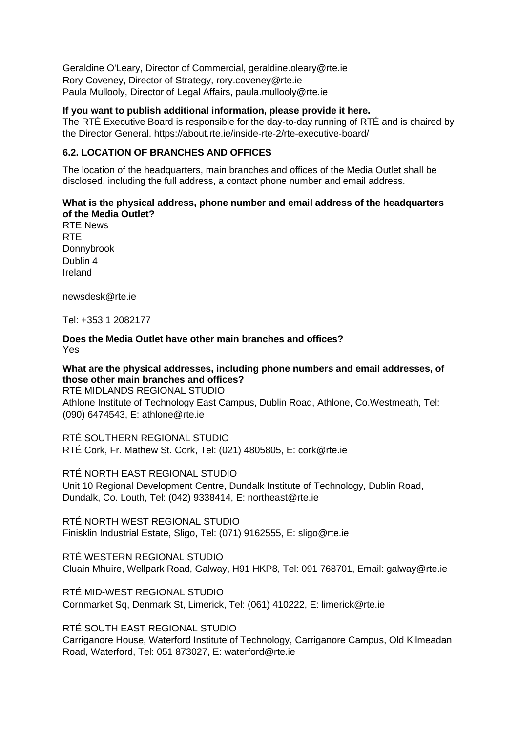Geraldine O'Leary, Director of Commercial, geraldine.oleary@rte.ie Rory Coveney, Director of Strategy, rory.coveney@rte.ie Paula Mullooly, Director of Legal Affairs, paula.mullooly@rte.ie

**If you want to publish additional information, please provide it here.**

The RTÉ Executive Board is responsible for the day-to-day running of RTÉ and is chaired by the Director General. https://about.rte.ie/inside-rte-2/rte-executive-board/

### **6.2. LOCATION OF BRANCHES AND OFFICES**

The location of the headquarters, main branches and offices of the Media Outlet shall be disclosed, including the full address, a contact phone number and email address.

### **What is the physical address, phone number and email address of the headquarters of the Media Outlet?**

RTE News RTE Donnybrook Dublin 4 Ireland

newsdesk@rte.ie

Tel: +353 1 2082177

**Does the Media Outlet have other main branches and offices?** Yes

**What are the physical addresses, including phone numbers and email addresses, of those other main branches and offices?** RTÉ MIDLANDS REGIONAL STUDIO Athlone Institute of Technology East Campus, Dublin Road, Athlone, Co.Westmeath, Tel: (090) 6474543, E: athlone@rte.ie

RTÉ SOUTHERN REGIONAL STUDIO RTÉ Cork, Fr. Mathew St. Cork, Tel: (021) 4805805, E: cork@rte.ie

RTÉ NORTH EAST REGIONAL STUDIO Unit 10 Regional Development Centre, Dundalk Institute of Technology, Dublin Road, Dundalk, Co. Louth, Tel: (042) 9338414, E: northeast@rte.ie

RTÉ NORTH WEST REGIONAL STUDIO Finisklin Industrial Estate, Sligo, Tel: (071) 9162555, E: sligo@rte.ie

RTÉ WESTERN REGIONAL STUDIO Cluain Mhuire, Wellpark Road, Galway, H91 HKP8, Tel: 091 768701, Email: galway@rte.ie

RTÉ MID-WEST REGIONAL STUDIO Cornmarket Sq, Denmark St, Limerick, Tel: (061) 410222, E: limerick@rte.ie

RTÉ SOUTH EAST REGIONAL STUDIO

Carriganore House, Waterford Institute of Technology, Carriganore Campus, Old Kilmeadan Road, Waterford, Tel: 051 873027, E: waterford@rte.ie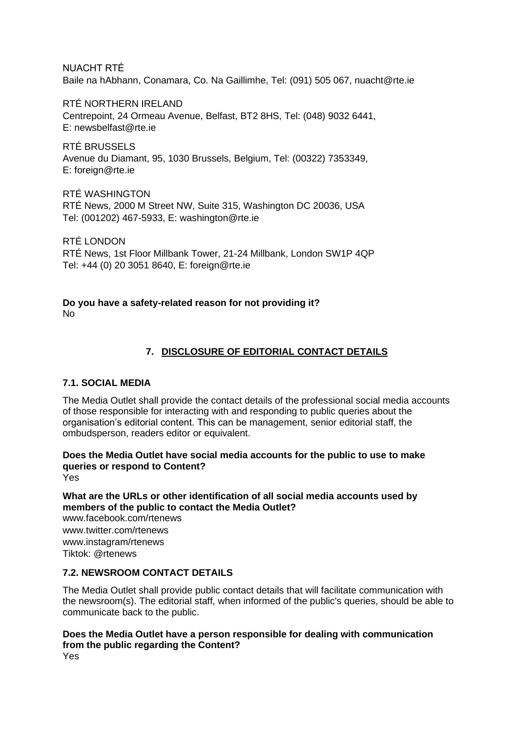NUACHT RTÉ Baile na hAbhann, Conamara, Co. Na Gaillimhe, Tel: (091) 505 067, nuacht@rte.ie

RTÉ NORTHERN IRELAND Centrepoint, 24 Ormeau Avenue, Belfast, BT2 8HS, Tel: (048) 9032 6441, E: newsbelfast@rte.ie

RTÉ BRUSSELS Avenue du Diamant, 95, 1030 Brussels, Belgium, Tel: (00322) 7353349, E: foreign@rte.ie

RTÉ WASHINGTON RTÉ News, 2000 M Street NW, Suite 315, Washington DC 20036, USA Tel: (001202) 467-5933, E: washington@rte.ie

RTÉ LONDON RTÉ News, 1st Floor Millbank Tower, 21-24 Millbank, London SW1P 4QP Tel: +44 (0) 20 3051 8640, E: foreign@rte.ie

# **Do you have a safety-related reason for not providing it?**

No

# **7. DISCLOSURE OF EDITORIAL CONTACT DETAILS**

### **7.1. SOCIAL MEDIA**

The Media Outlet shall provide the contact details of the professional social media accounts of those responsible for interacting with and responding to public queries about the organisation's editorial content. This can be management, senior editorial staff, the ombudsperson, readers editor or equivalent.

**Does the Media Outlet have social media accounts for the public to use to make queries or respond to Content?** Yes

**What are the URLs or other identification of all social media accounts used by members of the public to contact the Media Outlet?**

www.facebook.com/rtenews www.twitter.com/rtenews www.instagram/rtenews Tiktok: @rtenews

### **7.2. NEWSROOM CONTACT DETAILS**

The Media Outlet shall provide public contact details that will facilitate communication with the newsroom(s). The editorial staff, when informed of the public's queries, should be able to communicate back to the public.

#### **Does the Media Outlet have a person responsible for dealing with communication from the public regarding the Content?** Yes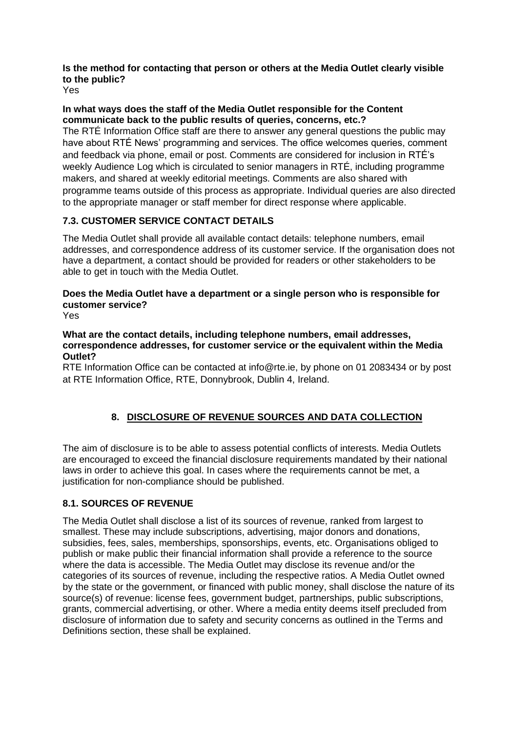## **Is the method for contacting that person or others at the Media Outlet clearly visible to the public?**

Yes

#### **In what ways does the staff of the Media Outlet responsible for the Content communicate back to the public results of queries, concerns, etc.?**

The RTÉ Information Office staff are there to answer any general questions the public may have about RTÉ News' programming and services. The office welcomes queries, comment and feedback via phone, email or post. Comments are considered for inclusion in RTÉ's weekly Audience Log which is circulated to senior managers in RTÉ, including programme makers, and shared at weekly editorial meetings. Comments are also shared with programme teams outside of this process as appropriate. Individual queries are also directed to the appropriate manager or staff member for direct response where applicable.

# **7.3. CUSTOMER SERVICE CONTACT DETAILS**

The Media Outlet shall provide all available contact details: telephone numbers, email addresses, and correspondence address of its customer service. If the organisation does not have a department, a contact should be provided for readers or other stakeholders to be able to get in touch with the Media Outlet.

# **Does the Media Outlet have a department or a single person who is responsible for customer service?**

Yes

### **What are the contact details, including telephone numbers, email addresses, correspondence addresses, for customer service or the equivalent within the Media Outlet?**

RTE Information Office can be contacted at info@rte.ie, by phone on 01 2083434 or by post at RTE Information Office, RTE, Donnybrook, Dublin 4, Ireland.

# **8. DISCLOSURE OF REVENUE SOURCES AND DATA COLLECTION**

The aim of disclosure is to be able to assess potential conflicts of interests. Media Outlets are encouraged to exceed the financial disclosure requirements mandated by their national laws in order to achieve this goal. In cases where the requirements cannot be met, a justification for non-compliance should be published.

# **8.1. SOURCES OF REVENUE**

The Media Outlet shall disclose a list of its sources of revenue, ranked from largest to smallest. These may include subscriptions, advertising, major donors and donations, subsidies, fees, sales, memberships, sponsorships, events, etc. Organisations obliged to publish or make public their financial information shall provide a reference to the source where the data is accessible. The Media Outlet may disclose its revenue and/or the categories of its sources of revenue, including the respective ratios. A Media Outlet owned by the state or the government, or financed with public money, shall disclose the nature of its source(s) of revenue: license fees, government budget, partnerships, public subscriptions, grants, commercial advertising, or other. Where a media entity deems itself precluded from disclosure of information due to safety and security concerns as outlined in the Terms and Definitions section, these shall be explained.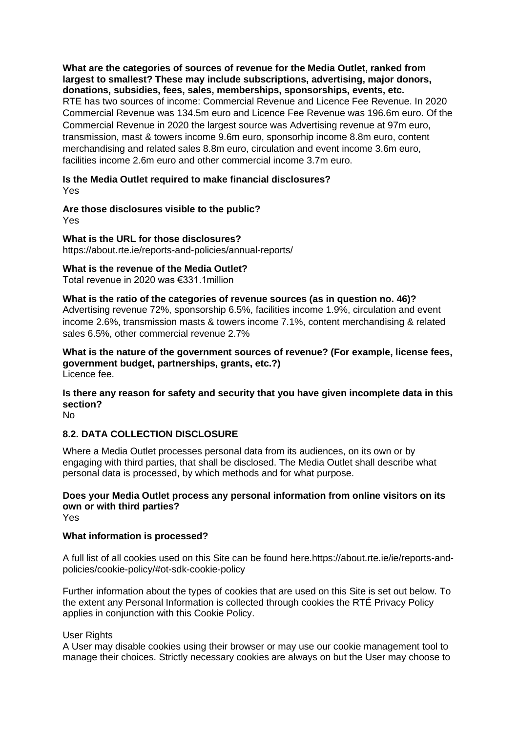**What are the categories of sources of revenue for the Media Outlet, ranked from largest to smallest? These may include subscriptions, advertising, major donors, donations, subsidies, fees, sales, memberships, sponsorships, events, etc.** RTE has two sources of income: Commercial Revenue and Licence Fee Revenue. In 2020

Commercial Revenue was 134.5m euro and Licence Fee Revenue was 196.6m euro. Of the Commercial Revenue in 2020 the largest source was Advertising revenue at 97m euro, transmission, mast & towers income 9.6m euro, sponsorhip income 8.8m euro, content merchandising and related sales 8.8m euro, circulation and event income 3.6m euro, facilities income 2.6m euro and other commercial income 3.7m euro.

#### **Is the Media Outlet required to make financial disclosures?** Yes

# **Are those disclosures visible to the public?**

Yes

**What is the URL for those disclosures?** https://about.rte.ie/reports-and-policies/annual-reports/

## **What is the revenue of the Media Outlet?**

Total revenue in 2020 was €331.1million

# **What is the ratio of the categories of revenue sources (as in question no. 46)?**

Advertising revenue 72%, sponsorship 6.5%, facilities income 1.9%, circulation and event income 2.6%, transmission masts & towers income 7.1%, content merchandising & related sales 6.5%, other commercial revenue 2.7%

**What is the nature of the government sources of revenue? (For example, license fees, government budget, partnerships, grants, etc.?)** Licence fee.

# **Is there any reason for safety and security that you have given incomplete data in this section?**

No

# **8.2. DATA COLLECTION DISCLOSURE**

Where a Media Outlet processes personal data from its audiences, on its own or by engaging with third parties, that shall be disclosed. The Media Outlet shall describe what personal data is processed, by which methods and for what purpose.

### **Does your Media Outlet process any personal information from online visitors on its own or with third parties?**

Yes

### **What information is processed?**

A full list of all cookies used on this Site can be found here.https://about.rte.ie/ie/reports-andpolicies/cookie-policy/#ot-sdk-cookie-policy

Further information about the types of cookies that are used on this Site is set out below. To the extent any Personal Information is collected through cookies the RTÉ Privacy Policy applies in conjunction with this Cookie Policy.

### User Rights

A User may disable cookies using their browser or may use our cookie management tool to manage their choices. Strictly necessary cookies are always on but the User may choose to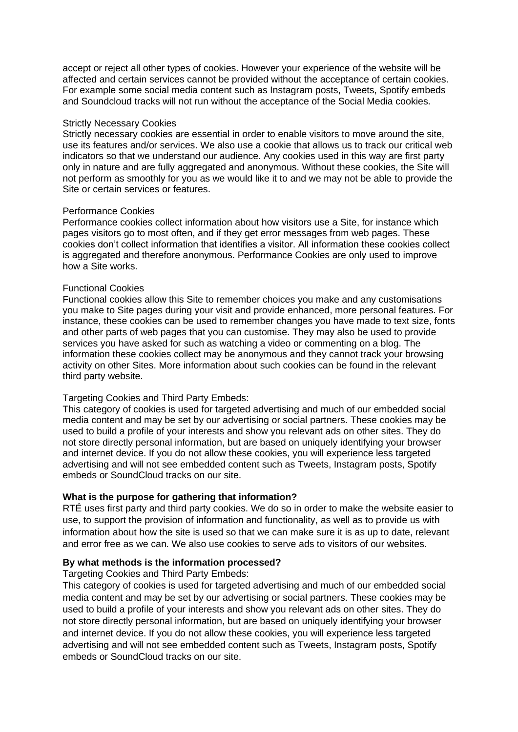accept or reject all other types of cookies. However your experience of the website will be affected and certain services cannot be provided without the acceptance of certain cookies. For example some social media content such as Instagram posts, Tweets, Spotify embeds and Soundcloud tracks will not run without the acceptance of the Social Media cookies.

#### Strictly Necessary Cookies

Strictly necessary cookies are essential in order to enable visitors to move around the site, use its features and/or services. We also use a cookie that allows us to track our critical web indicators so that we understand our audience. Any cookies used in this way are first party only in nature and are fully aggregated and anonymous. Without these cookies, the Site will not perform as smoothly for you as we would like it to and we may not be able to provide the Site or certain services or features.

#### Performance Cookies

Performance cookies collect information about how visitors use a Site, for instance which pages visitors go to most often, and if they get error messages from web pages. These cookies don't collect information that identifies a visitor. All information these cookies collect is aggregated and therefore anonymous. Performance Cookies are only used to improve how a Site works.

#### Functional Cookies

Functional cookies allow this Site to remember choices you make and any customisations you make to Site pages during your visit and provide enhanced, more personal features. For instance, these cookies can be used to remember changes you have made to text size, fonts and other parts of web pages that you can customise. They may also be used to provide services you have asked for such as watching a video or commenting on a blog. The information these cookies collect may be anonymous and they cannot track your browsing activity on other Sites. More information about such cookies can be found in the relevant third party website.

#### Targeting Cookies and Third Party Embeds:

This category of cookies is used for targeted advertising and much of our embedded social media content and may be set by our advertising or social partners. These cookies may be used to build a profile of your interests and show you relevant ads on other sites. They do not store directly personal information, but are based on uniquely identifying your browser and internet device. If you do not allow these cookies, you will experience less targeted advertising and will not see embedded content such as Tweets, Instagram posts, Spotify embeds or SoundCloud tracks on our site.

#### **What is the purpose for gathering that information?**

RTÉ uses first party and third party cookies. We do so in order to make the website easier to use, to support the provision of information and functionality, as well as to provide us with information about how the site is used so that we can make sure it is as up to date, relevant and error free as we can. We also use cookies to serve ads to visitors of our websites.

#### **By what methods is the information processed?**

#### Targeting Cookies and Third Party Embeds:

This category of cookies is used for targeted advertising and much of our embedded social media content and may be set by our advertising or social partners. These cookies may be used to build a profile of your interests and show you relevant ads on other sites. They do not store directly personal information, but are based on uniquely identifying your browser and internet device. If you do not allow these cookies, you will experience less targeted advertising and will not see embedded content such as Tweets, Instagram posts, Spotify embeds or SoundCloud tracks on our site.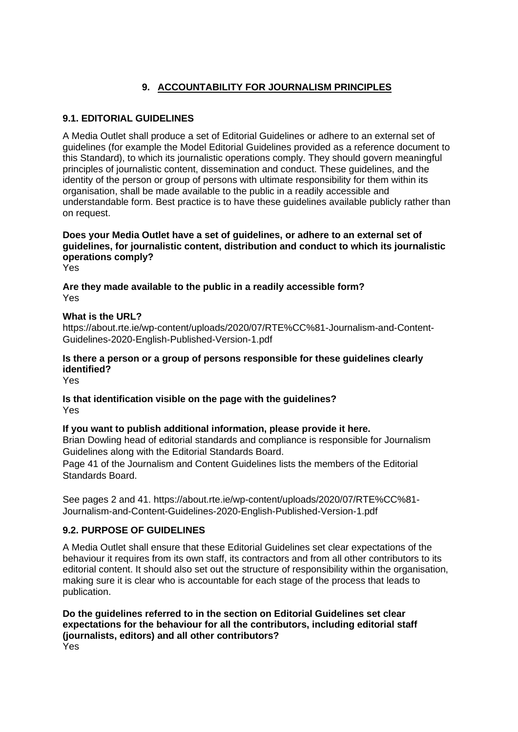# **9. ACCOUNTABILITY FOR JOURNALISM PRINCIPLES**

## **9.1. EDITORIAL GUIDELINES**

A Media Outlet shall produce a set of Editorial Guidelines or adhere to an external set of guidelines (for example the Model Editorial Guidelines provided as a reference document to this Standard), to which its journalistic operations comply. They should govern meaningful principles of journalistic content, dissemination and conduct. These guidelines, and the identity of the person or group of persons with ultimate responsibility for them within its organisation, shall be made available to the public in a readily accessible and understandable form. Best practice is to have these guidelines available publicly rather than on request.

## **Does your Media Outlet have a set of guidelines, or adhere to an external set of guidelines, for journalistic content, distribution and conduct to which its journalistic operations comply?**

Yes

**Are they made available to the public in a readily accessible form?** Yes

### **What is the URL?**

https://about.rte.ie/wp-content/uploads/2020/07/RTE%CC%81-Journalism-and-Content-Guidelines-2020-English-Published-Version-1.pdf

### **Is there a person or a group of persons responsible for these guidelines clearly identified?**

Yes

**Is that identification visible on the page with the guidelines?** Yes

### **If you want to publish additional information, please provide it here.**

Brian Dowling head of editorial standards and compliance is responsible for Journalism Guidelines along with the Editorial Standards Board.

Page 41 of the Journalism and Content Guidelines lists the members of the Editorial Standards Board.

See pages 2 and 41. https://about.rte.ie/wp-content/uploads/2020/07/RTE%CC%81- Journalism-and-Content-Guidelines-2020-English-Published-Version-1.pdf

### **9.2. PURPOSE OF GUIDELINES**

A Media Outlet shall ensure that these Editorial Guidelines set clear expectations of the behaviour it requires from its own staff, its contractors and from all other contributors to its editorial content. It should also set out the structure of responsibility within the organisation, making sure it is clear who is accountable for each stage of the process that leads to publication.

**Do the guidelines referred to in the section on Editorial Guidelines set clear expectations for the behaviour for all the contributors, including editorial staff (journalists, editors) and all other contributors?** Yes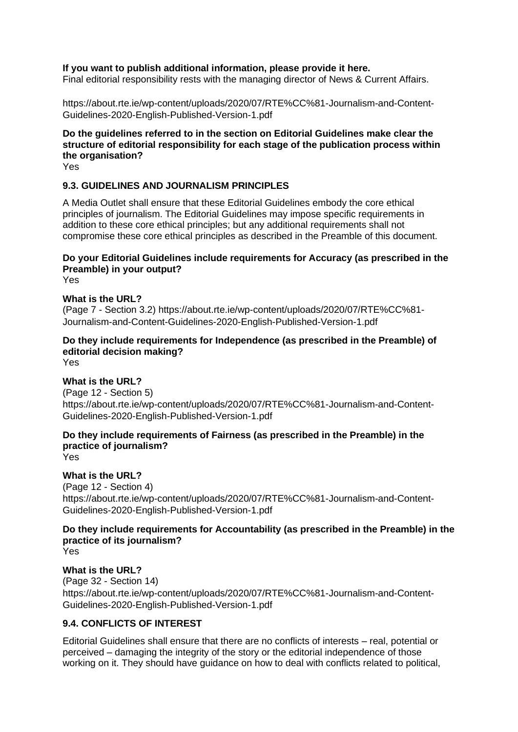### **If you want to publish additional information, please provide it here.**

Final editorial responsibility rests with the managing director of News & Current Affairs.

https://about.rte.ie/wp-content/uploads/2020/07/RTE%CC%81-Journalism-and-Content-Guidelines-2020-English-Published-Version-1.pdf

### **Do the guidelines referred to in the section on Editorial Guidelines make clear the structure of editorial responsibility for each stage of the publication process within the organisation?**

Yes

### **9.3. GUIDELINES AND JOURNALISM PRINCIPLES**

A Media Outlet shall ensure that these Editorial Guidelines embody the core ethical principles of journalism. The Editorial Guidelines may impose specific requirements in addition to these core ethical principles; but any additional requirements shall not compromise these core ethical principles as described in the Preamble of this document.

## **Do your Editorial Guidelines include requirements for Accuracy (as prescribed in the Preamble) in your output?**

Yes

#### **What is the URL?**

(Page 7 - Section 3.2) https://about.rte.ie/wp-content/uploads/2020/07/RTE%CC%81- Journalism-and-Content-Guidelines-2020-English-Published-Version-1.pdf

### **Do they include requirements for Independence (as prescribed in the Preamble) of editorial decision making?**

Yes

### **What is the URL?**

(Page 12 - Section 5) https://about.rte.ie/wp-content/uploads/2020/07/RTE%CC%81-Journalism-and-Content-Guidelines-2020-English-Published-Version-1.pdf

## **Do they include requirements of Fairness (as prescribed in the Preamble) in the practice of journalism?**

Yes

# **What is the URL?**

(Page 12 - Section 4) https://about.rte.ie/wp-content/uploads/2020/07/RTE%CC%81-Journalism-and-Content-Guidelines-2020-English-Published-Version-1.pdf

# **Do they include requirements for Accountability (as prescribed in the Preamble) in the practice of its journalism?**

Yes

### **What is the URL?**

(Page 32 - Section 14) https://about.rte.ie/wp-content/uploads/2020/07/RTE%CC%81-Journalism-and-Content-Guidelines-2020-English-Published-Version-1.pdf

### **9.4. CONFLICTS OF INTEREST**

Editorial Guidelines shall ensure that there are no conflicts of interests – real, potential or perceived – damaging the integrity of the story or the editorial independence of those working on it. They should have guidance on how to deal with conflicts related to political,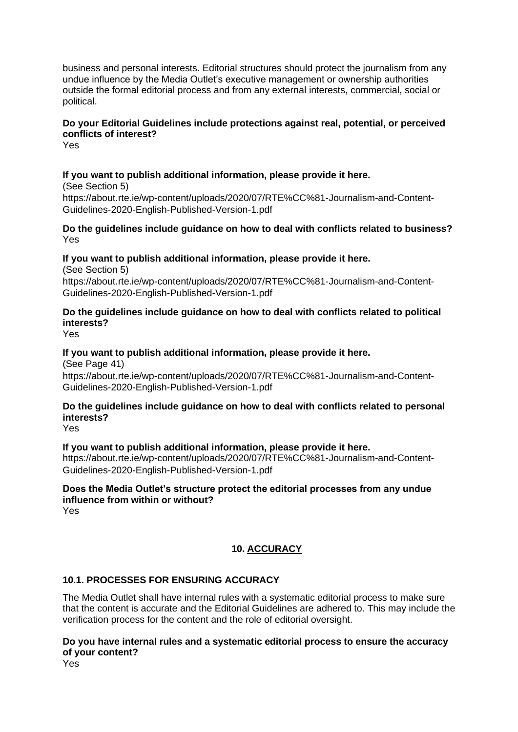business and personal interests. Editorial structures should protect the journalism from any undue influence by the Media Outlet's executive management or ownership authorities outside the formal editorial process and from any external interests, commercial, social or political.

### **Do your Editorial Guidelines include protections against real, potential, or perceived conflicts of interest?**

Yes

### **If you want to publish additional information, please provide it here.**

(See Section 5) https://about.rte.ie/wp-content/uploads/2020/07/RTE%CC%81-Journalism-and-Content-Guidelines-2020-English-Published-Version-1.pdf

**Do the guidelines include guidance on how to deal with conflicts related to business?** Yes

### **If you want to publish additional information, please provide it here.**

(See Section 5) https://about.rte.ie/wp-content/uploads/2020/07/RTE%CC%81-Journalism-and-Content-Guidelines-2020-English-Published-Version-1.pdf

### **Do the guidelines include guidance on how to deal with conflicts related to political interests?**

Yes

### **If you want to publish additional information, please provide it here.**

(See Page 41) https://about.rte.ie/wp-content/uploads/2020/07/RTE%CC%81-Journalism-and-Content-Guidelines-2020-English-Published-Version-1.pdf

### **Do the guidelines include guidance on how to deal with conflicts related to personal interests?**

Yes

### **If you want to publish additional information, please provide it here.**

https://about.rte.ie/wp-content/uploads/2020/07/RTE%CC%81-Journalism-and-Content-Guidelines-2020-English-Published-Version-1.pdf

### **Does the Media Outlet's structure protect the editorial processes from any undue influence from within or without?**

Yes

### **10. ACCURACY**

### **10.1. PROCESSES FOR ENSURING ACCURACY**

The Media Outlet shall have internal rules with a systematic editorial process to make sure that the content is accurate and the Editorial Guidelines are adhered to. This may include the verification process for the content and the role of editorial oversight.

**Do you have internal rules and a systematic editorial process to ensure the accuracy of your content?**

Yes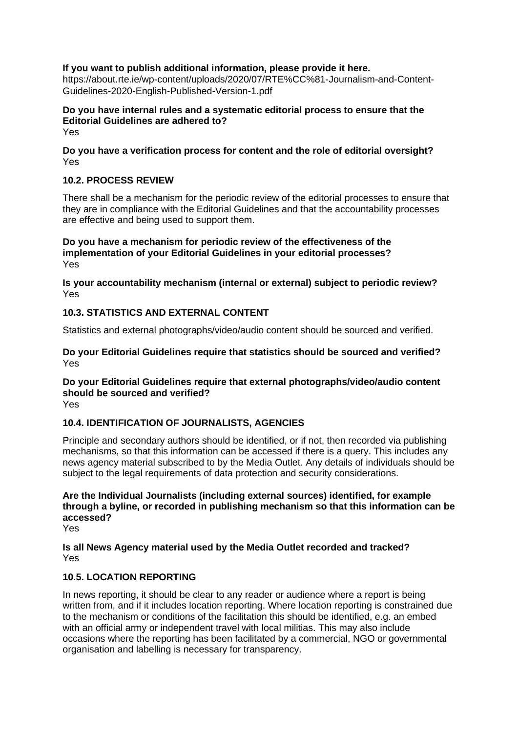### **If you want to publish additional information, please provide it here.**

https://about.rte.ie/wp-content/uploads/2020/07/RTE%CC%81-Journalism-and-Content-Guidelines-2020-English-Published-Version-1.pdf

**Do you have internal rules and a systematic editorial process to ensure that the Editorial Guidelines are adhered to?** Yes

**Do you have a verification process for content and the role of editorial oversight?** Yes

### **10.2. PROCESS REVIEW**

There shall be a mechanism for the periodic review of the editorial processes to ensure that they are in compliance with the Editorial Guidelines and that the accountability processes are effective and being used to support them.

**Do you have a mechanism for periodic review of the effectiveness of the implementation of your Editorial Guidelines in your editorial processes?** Yes

**Is your accountability mechanism (internal or external) subject to periodic review?** Yes

### **10.3. STATISTICS AND EXTERNAL CONTENT**

Statistics and external photographs/video/audio content should be sourced and verified.

**Do your Editorial Guidelines require that statistics should be sourced and verified?** Yes

**Do your Editorial Guidelines require that external photographs/video/audio content should be sourced and verified?**

Yes

### **10.4. IDENTIFICATION OF JOURNALISTS, AGENCIES**

Principle and secondary authors should be identified, or if not, then recorded via publishing mechanisms, so that this information can be accessed if there is a query. This includes any news agency material subscribed to by the Media Outlet. Any details of individuals should be subject to the legal requirements of data protection and security considerations.

**Are the Individual Journalists (including external sources) identified, for example through a byline, or recorded in publishing mechanism so that this information can be accessed?**

Yes

**Is all News Agency material used by the Media Outlet recorded and tracked?** Yes

### **10.5. LOCATION REPORTING**

In news reporting, it should be clear to any reader or audience where a report is being written from, and if it includes location reporting. Where location reporting is constrained due to the mechanism or conditions of the facilitation this should be identified, e.g. an embed with an official army or independent travel with local militias. This may also include occasions where the reporting has been facilitated by a commercial, NGO or governmental organisation and labelling is necessary for transparency.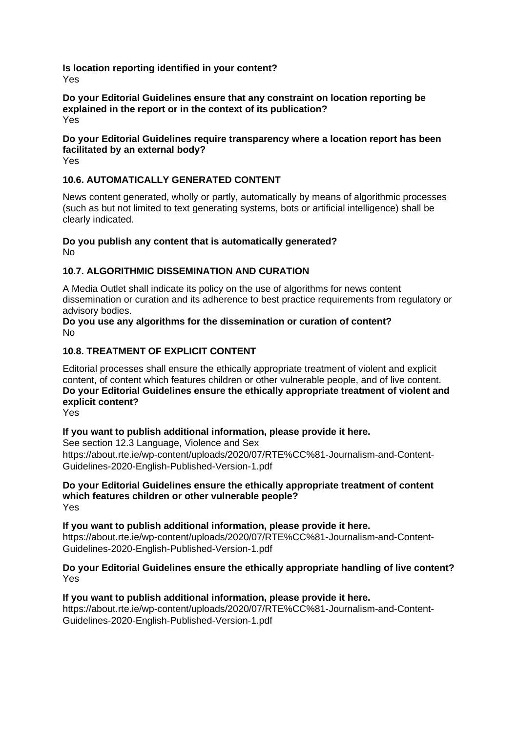**Is location reporting identified in your content?** Yes

#### **Do your Editorial Guidelines ensure that any constraint on location reporting be explained in the report or in the context of its publication?** Yes

### **Do your Editorial Guidelines require transparency where a location report has been facilitated by an external body?**

Yes

### **10.6. AUTOMATICALLY GENERATED CONTENT**

News content generated, wholly or partly, automatically by means of algorithmic processes (such as but not limited to text generating systems, bots or artificial intelligence) shall be clearly indicated.

# **Do you publish any content that is automatically generated?**

No

### **10.7. ALGORITHMIC DISSEMINATION AND CURATION**

A Media Outlet shall indicate its policy on the use of algorithms for news content dissemination or curation and its adherence to best practice requirements from regulatory or advisory bodies.

#### **Do you use any algorithms for the dissemination or curation of content?** No

### **10.8. TREATMENT OF EXPLICIT CONTENT**

Editorial processes shall ensure the ethically appropriate treatment of violent and explicit content, of content which features children or other vulnerable people, and of live content. **Do your Editorial Guidelines ensure the ethically appropriate treatment of violent and explicit content?**

Yes

### **If you want to publish additional information, please provide it here.**

See section 12.3 Language, Violence and Sex https://about.rte.ie/wp-content/uploads/2020/07/RTE%CC%81-Journalism-and-Content-Guidelines-2020-English-Published-Version-1.pdf

#### **Do your Editorial Guidelines ensure the ethically appropriate treatment of content which features children or other vulnerable people?** Yes

**If you want to publish additional information, please provide it here.** https://about.rte.ie/wp-content/uploads/2020/07/RTE%CC%81-Journalism-and-Content-Guidelines-2020-English-Published-Version-1.pdf

### **Do your Editorial Guidelines ensure the ethically appropriate handling of live content?** Yes

### **If you want to publish additional information, please provide it here.**

https://about.rte.ie/wp-content/uploads/2020/07/RTE%CC%81-Journalism-and-Content-Guidelines-2020-English-Published-Version-1.pdf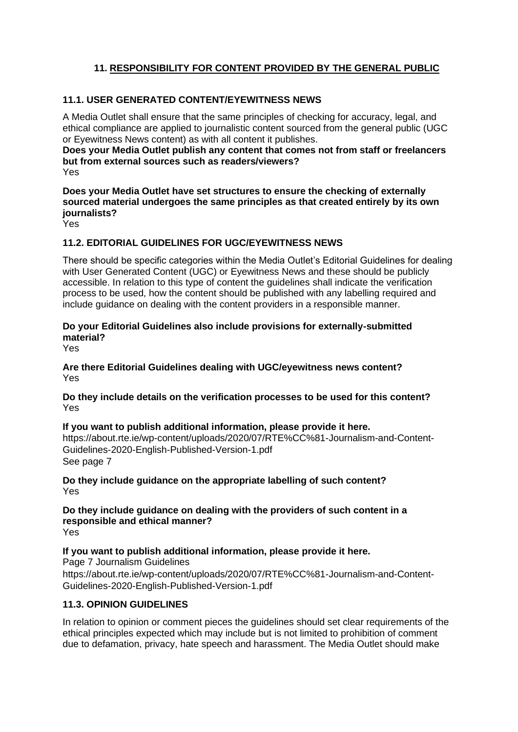## **11. RESPONSIBILITY FOR CONTENT PROVIDED BY THE GENERAL PUBLIC**

### **11.1. USER GENERATED CONTENT/EYEWITNESS NEWS**

A Media Outlet shall ensure that the same principles of checking for accuracy, legal, and ethical compliance are applied to journalistic content sourced from the general public (UGC or Eyewitness News content) as with all content it publishes.

**Does your Media Outlet publish any content that comes not from staff or freelancers but from external sources such as readers/viewers?** Yes

**Does your Media Outlet have set structures to ensure the checking of externally sourced material undergoes the same principles as that created entirely by its own journalists?**

Yes

### **11.2. EDITORIAL GUIDELINES FOR UGC/EYEWITNESS NEWS**

There should be specific categories within the Media Outlet's Editorial Guidelines for dealing with User Generated Content (UGC) or Evewitness News and these should be publicly accessible. In relation to this type of content the guidelines shall indicate the verification process to be used, how the content should be published with any labelling required and include guidance on dealing with the content providers in a responsible manner.

### **Do your Editorial Guidelines also include provisions for externally-submitted material?**

Yes

**Are there Editorial Guidelines dealing with UGC/eyewitness news content?** Yes

**Do they include details on the verification processes to be used for this content?** Yes

**If you want to publish additional information, please provide it here.** https://about.rte.ie/wp-content/uploads/2020/07/RTE%CC%81-Journalism-and-Content-Guidelines-2020-English-Published-Version-1.pdf See page 7

**Do they include guidance on the appropriate labelling of such content?** Yes

**Do they include guidance on dealing with the providers of such content in a responsible and ethical manner?** Yes

**If you want to publish additional information, please provide it here.** Page 7 Journalism Guidelines

https://about.rte.ie/wp-content/uploads/2020/07/RTE%CC%81-Journalism-and-Content-Guidelines-2020-English-Published-Version-1.pdf

### **11.3. OPINION GUIDELINES**

In relation to opinion or comment pieces the guidelines should set clear requirements of the ethical principles expected which may include but is not limited to prohibition of comment due to defamation, privacy, hate speech and harassment. The Media Outlet should make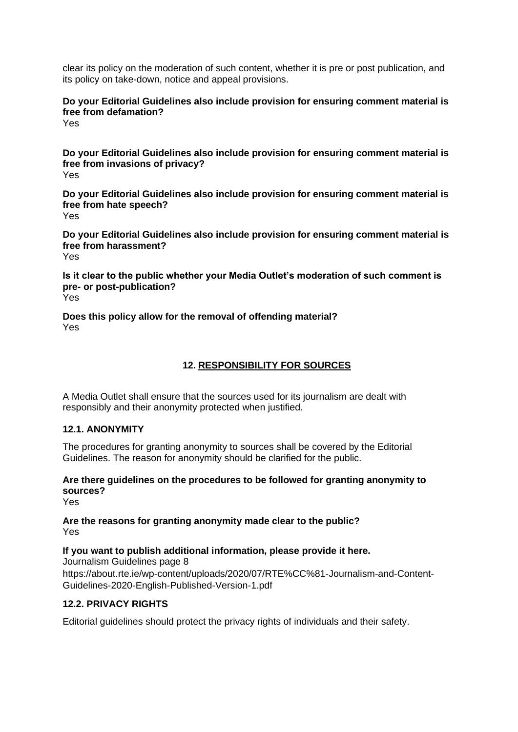clear its policy on the moderation of such content, whether it is pre or post publication, and its policy on take-down, notice and appeal provisions.

**Do your Editorial Guidelines also include provision for ensuring comment material is free from defamation?**

Yes

**Do your Editorial Guidelines also include provision for ensuring comment material is free from invasions of privacy?**

Yes

**Do your Editorial Guidelines also include provision for ensuring comment material is free from hate speech?** Yes

**Do your Editorial Guidelines also include provision for ensuring comment material is free from harassment?** Yes

**Is it clear to the public whether your Media Outlet's moderation of such comment is pre- or post-publication?** Yes

**Does this policy allow for the removal of offending material?** Yes

### **12. RESPONSIBILITY FOR SOURCES**

A Media Outlet shall ensure that the sources used for its journalism are dealt with responsibly and their anonymity protected when justified.

### **12.1. ANONYMITY**

The procedures for granting anonymity to sources shall be covered by the Editorial Guidelines. The reason for anonymity should be clarified for the public.

### **Are there guidelines on the procedures to be followed for granting anonymity to sources?**

Yes

**Are the reasons for granting anonymity made clear to the public?** Yes

#### **If you want to publish additional information, please provide it here.** Journalism Guidelines page 8

https://about.rte.ie/wp-content/uploads/2020/07/RTE%CC%81-Journalism-and-Content-Guidelines-2020-English-Published-Version-1.pdf

### **12.2. PRIVACY RIGHTS**

Editorial guidelines should protect the privacy rights of individuals and their safety.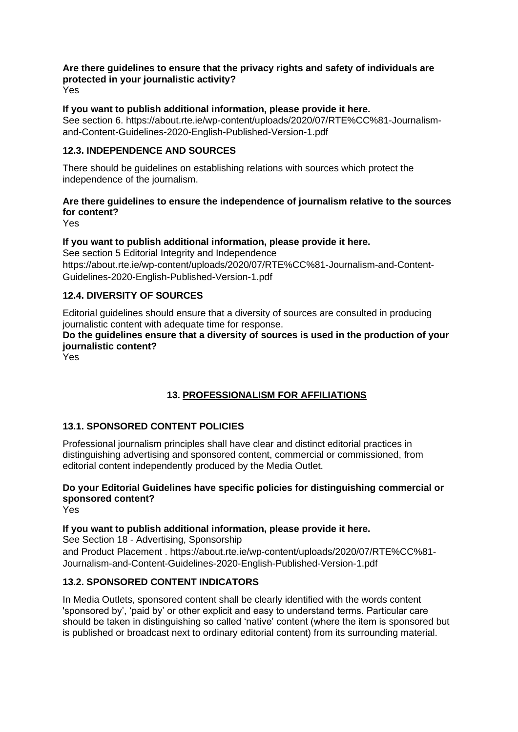# **Are there guidelines to ensure that the privacy rights and safety of individuals are protected in your journalistic activity?**

Yes

### **If you want to publish additional information, please provide it here.**

See section 6. https://about.rte.ie/wp-content/uploads/2020/07/RTE%CC%81-Journalismand-Content-Guidelines-2020-English-Published-Version-1.pdf

### **12.3. INDEPENDENCE AND SOURCES**

There should be guidelines on establishing relations with sources which protect the independence of the journalism.

### **Are there guidelines to ensure the independence of journalism relative to the sources for content?**

Yes

### **If you want to publish additional information, please provide it here.**

See section 5 Editorial Integrity and Independence https://about.rte.ie/wp-content/uploads/2020/07/RTE%CC%81-Journalism-and-Content-Guidelines-2020-English-Published-Version-1.pdf

### **12.4. DIVERSITY OF SOURCES**

Editorial guidelines should ensure that a diversity of sources are consulted in producing journalistic content with adequate time for response.

### **Do the guidelines ensure that a diversity of sources is used in the production of your journalistic content?**

Yes

# **13. PROFESSIONALISM FOR AFFILIATIONS**

### **13.1. SPONSORED CONTENT POLICIES**

Professional journalism principles shall have clear and distinct editorial practices in distinguishing advertising and sponsored content, commercial or commissioned, from editorial content independently produced by the Media Outlet.

### **Do your Editorial Guidelines have specific policies for distinguishing commercial or sponsored content?**

Yes

### **If you want to publish additional information, please provide it here.**

See Section 18 - Advertising, Sponsorship and Product Placement . https://about.rte.ie/wp-content/uploads/2020/07/RTE%CC%81- Journalism-and-Content-Guidelines-2020-English-Published-Version-1.pdf

### **13.2. SPONSORED CONTENT INDICATORS**

In Media Outlets, sponsored content shall be clearly identified with the words content 'sponsored by', 'paid by' or other explicit and easy to understand terms. Particular care should be taken in distinguishing so called 'native' content (where the item is sponsored but is published or broadcast next to ordinary editorial content) from its surrounding material.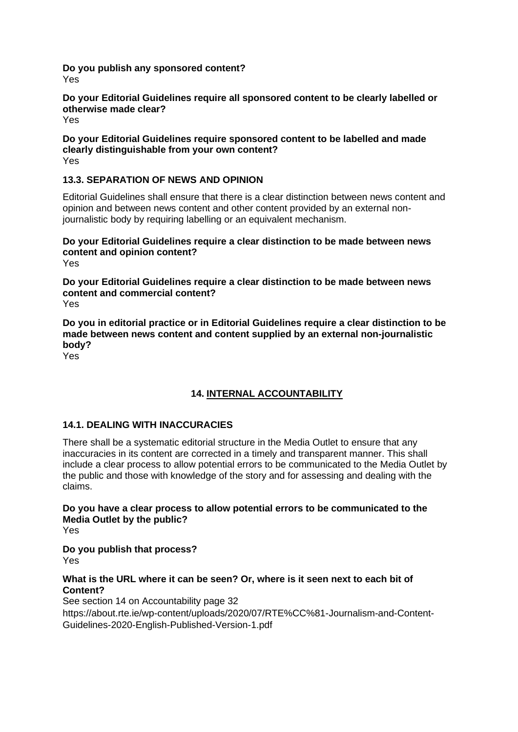#### **Do you publish any sponsored content?** Yes

### **Do your Editorial Guidelines require all sponsored content to be clearly labelled or otherwise made clear?**

Yes

#### **Do your Editorial Guidelines require sponsored content to be labelled and made clearly distinguishable from your own content?** Yes

### **13.3. SEPARATION OF NEWS AND OPINION**

Editorial Guidelines shall ensure that there is a clear distinction between news content and opinion and between news content and other content provided by an external nonjournalistic body by requiring labelling or an equivalent mechanism.

# **Do your Editorial Guidelines require a clear distinction to be made between news content and opinion content?**

Yes

**Do your Editorial Guidelines require a clear distinction to be made between news content and commercial content?** Yes

**Do you in editorial practice or in Editorial Guidelines require a clear distinction to be made between news content and content supplied by an external non-journalistic body?**

Yes

# **14. INTERNAL ACCOUNTABILITY**

### **14.1. DEALING WITH INACCURACIES**

There shall be a systematic editorial structure in the Media Outlet to ensure that any inaccuracies in its content are corrected in a timely and transparent manner. This shall include a clear process to allow potential errors to be communicated to the Media Outlet by the public and those with knowledge of the story and for assessing and dealing with the claims.

**Do you have a clear process to allow potential errors to be communicated to the Media Outlet by the public?**

Yes

**Do you publish that process?** Yes

### **What is the URL where it can be seen? Or, where is it seen next to each bit of Content?**

See section 14 on Accountability page 32 https://about.rte.ie/wp-content/uploads/2020/07/RTE%CC%81-Journalism-and-Content-Guidelines-2020-English-Published-Version-1.pdf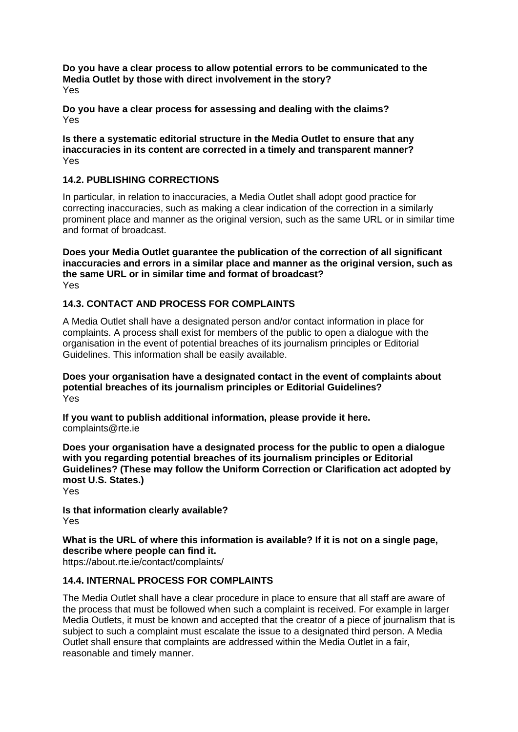**Do you have a clear process to allow potential errors to be communicated to the Media Outlet by those with direct involvement in the story?** Yes

**Do you have a clear process for assessing and dealing with the claims?** Yes

**Is there a systematic editorial structure in the Media Outlet to ensure that any inaccuracies in its content are corrected in a timely and transparent manner?** Yes

### **14.2. PUBLISHING CORRECTIONS**

In particular, in relation to inaccuracies, a Media Outlet shall adopt good practice for correcting inaccuracies, such as making a clear indication of the correction in a similarly prominent place and manner as the original version, such as the same URL or in similar time and format of broadcast.

**Does your Media Outlet guarantee the publication of the correction of all significant inaccuracies and errors in a similar place and manner as the original version, such as the same URL or in similar time and format of broadcast?** Yes

### **14.3. CONTACT AND PROCESS FOR COMPLAINTS**

A Media Outlet shall have a designated person and/or contact information in place for complaints. A process shall exist for members of the public to open a dialogue with the organisation in the event of potential breaches of its journalism principles or Editorial Guidelines. This information shall be easily available.

**Does your organisation have a designated contact in the event of complaints about potential breaches of its journalism principles or Editorial Guidelines?** Yes

**If you want to publish additional information, please provide it here.** complaints@rte.ie

**Does your organisation have a designated process for the public to open a dialogue with you regarding potential breaches of its journalism principles or Editorial Guidelines? (These may follow the Uniform Correction or Clarification act adopted by most U.S. States.)**

Yes

**Is that information clearly available?** Yes

**What is the URL of where this information is available? If it is not on a single page, describe where people can find it.** https://about.rte.ie/contact/complaints/

### **14.4. INTERNAL PROCESS FOR COMPLAINTS**

The Media Outlet shall have a clear procedure in place to ensure that all staff are aware of the process that must be followed when such a complaint is received. For example in larger Media Outlets, it must be known and accepted that the creator of a piece of journalism that is subject to such a complaint must escalate the issue to a designated third person. A Media Outlet shall ensure that complaints are addressed within the Media Outlet in a fair, reasonable and timely manner.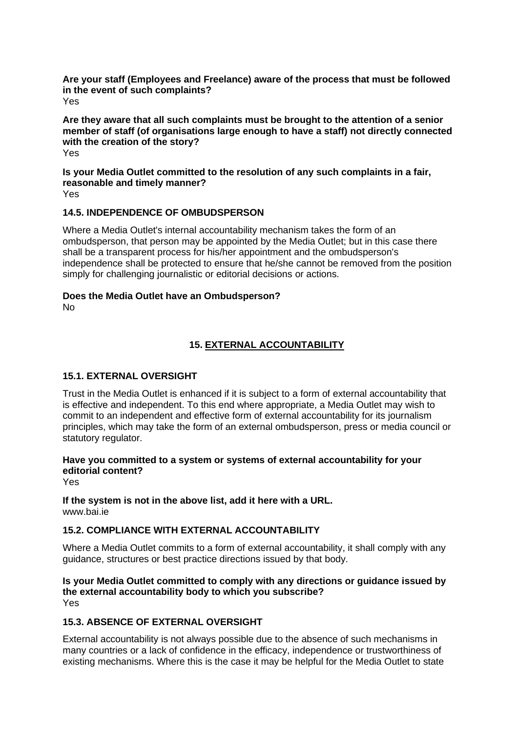**Are your staff (Employees and Freelance) aware of the process that must be followed in the event of such complaints?** Yes

**Are they aware that all such complaints must be brought to the attention of a senior member of staff (of organisations large enough to have a staff) not directly connected with the creation of the story?** Yes

**Is your Media Outlet committed to the resolution of any such complaints in a fair, reasonable and timely manner?** Yes

### **14.5. INDEPENDENCE OF OMBUDSPERSON**

Where a Media Outlet's internal accountability mechanism takes the form of an ombudsperson, that person may be appointed by the Media Outlet; but in this case there shall be a transparent process for his/her appointment and the ombudsperson's independence shall be protected to ensure that he/she cannot be removed from the position simply for challenging journalistic or editorial decisions or actions.

#### **Does the Media Outlet have an Ombudsperson?** No

### **15. EXTERNAL ACCOUNTABILITY**

### **15.1. EXTERNAL OVERSIGHT**

Trust in the Media Outlet is enhanced if it is subject to a form of external accountability that is effective and independent. To this end where appropriate, a Media Outlet may wish to commit to an independent and effective form of external accountability for its journalism principles, which may take the form of an external ombudsperson, press or media council or statutory regulator.

### **Have you committed to a system or systems of external accountability for your editorial content?**

Yes

# **If the system is not in the above list, add it here with a URL.**

www.bai.ie

# **15.2. COMPLIANCE WITH EXTERNAL ACCOUNTABILITY**

Where a Media Outlet commits to a form of external accountability, it shall comply with any guidance, structures or best practice directions issued by that body.

#### **Is your Media Outlet committed to comply with any directions or guidance issued by the external accountability body to which you subscribe?** Yes

### **15.3. ABSENCE OF EXTERNAL OVERSIGHT**

External accountability is not always possible due to the absence of such mechanisms in many countries or a lack of confidence in the efficacy, independence or trustworthiness of existing mechanisms. Where this is the case it may be helpful for the Media Outlet to state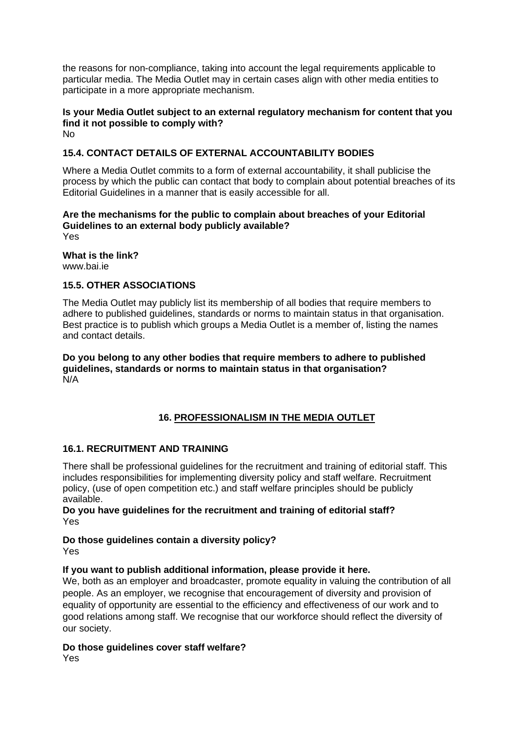the reasons for non-compliance, taking into account the legal requirements applicable to particular media. The Media Outlet may in certain cases align with other media entities to participate in a more appropriate mechanism.

#### **Is your Media Outlet subject to an external regulatory mechanism for content that you find it not possible to comply with?** No

### **15.4. CONTACT DETAILS OF EXTERNAL ACCOUNTABILITY BODIES**

Where a Media Outlet commits to a form of external accountability, it shall publicise the process by which the public can contact that body to complain about potential breaches of its Editorial Guidelines in a manner that is easily accessible for all.

# **Are the mechanisms for the public to complain about breaches of your Editorial Guidelines to an external body publicly available?**

Yes

**What is the link?** www.bai.ie

### **15.5. OTHER ASSOCIATIONS**

The Media Outlet may publicly list its membership of all bodies that require members to adhere to published guidelines, standards or norms to maintain status in that organisation. Best practice is to publish which groups a Media Outlet is a member of, listing the names and contact details.

**Do you belong to any other bodies that require members to adhere to published guidelines, standards or norms to maintain status in that organisation?** N/A

### **16. PROFESSIONALISM IN THE MEDIA OUTLET**

### **16.1. RECRUITMENT AND TRAINING**

There shall be professional guidelines for the recruitment and training of editorial staff. This includes responsibilities for implementing diversity policy and staff welfare. Recruitment policy, (use of open competition etc.) and staff welfare principles should be publicly available.

**Do you have guidelines for the recruitment and training of editorial staff?** Yes

#### **Do those guidelines contain a diversity policy?** Yes

### **If you want to publish additional information, please provide it here.**

We, both as an employer and broadcaster, promote equality in valuing the contribution of all people. As an employer, we recognise that encouragement of diversity and provision of equality of opportunity are essential to the efficiency and effectiveness of our work and to good relations among staff. We recognise that our workforce should reflect the diversity of our society.

# **Do those guidelines cover staff welfare?**

Yes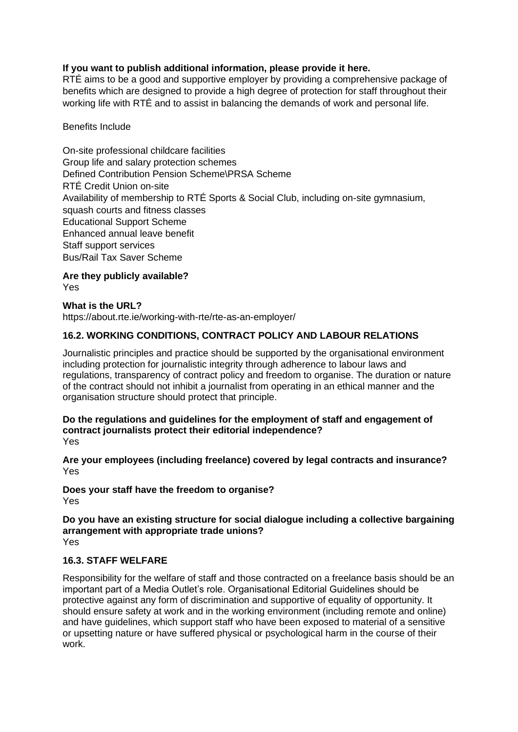### **If you want to publish additional information, please provide it here.**

RTÉ aims to be a good and supportive employer by providing a comprehensive package of benefits which are designed to provide a high degree of protection for staff throughout their working life with RTÉ and to assist in balancing the demands of work and personal life.

### Benefits Include

On-site professional childcare facilities Group life and salary protection schemes Defined Contribution Pension Scheme\PRSA Scheme RTÉ Credit Union on-site Availability of membership to RTÉ Sports & Social Club, including on-site gymnasium, squash courts and fitness classes Educational Support Scheme Enhanced annual leave benefit Staff support services Bus/Rail Tax Saver Scheme

**Are they publicly available?** Yes

### **What is the URL?**

https://about.rte.ie/working-with-rte/rte-as-an-employer/

### **16.2. WORKING CONDITIONS, CONTRACT POLICY AND LABOUR RELATIONS**

Journalistic principles and practice should be supported by the organisational environment including protection for journalistic integrity through adherence to labour laws and regulations, transparency of contract policy and freedom to organise. The duration or nature of the contract should not inhibit a journalist from operating in an ethical manner and the organisation structure should protect that principle.

**Do the regulations and guidelines for the employment of staff and engagement of contract journalists protect their editorial independence?** Yes

**Are your employees (including freelance) covered by legal contracts and insurance?** Yes

**Does your staff have the freedom to organise?** Yes

**Do you have an existing structure for social dialogue including a collective bargaining arrangement with appropriate trade unions?** Yes

### **16.3. STAFF WELFARE**

Responsibility for the welfare of staff and those contracted on a freelance basis should be an important part of a Media Outlet's role. Organisational Editorial Guidelines should be protective against any form of discrimination and supportive of equality of opportunity. It should ensure safety at work and in the working environment (including remote and online) and have guidelines, which support staff who have been exposed to material of a sensitive or upsetting nature or have suffered physical or psychological harm in the course of their work.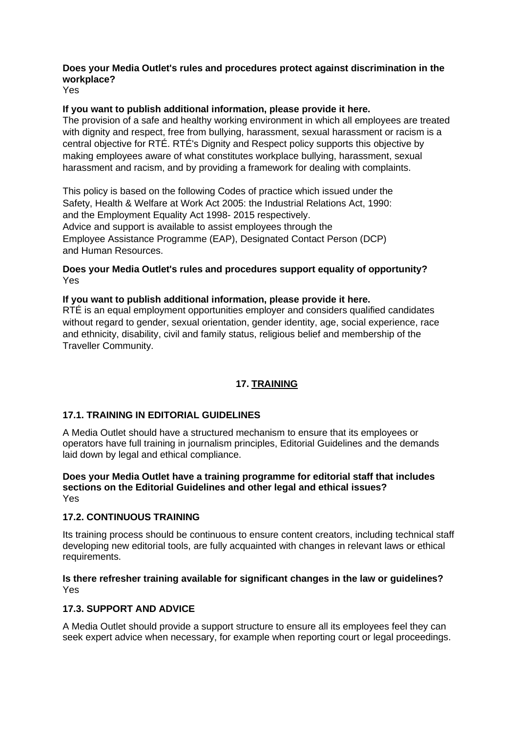### **Does your Media Outlet's rules and procedures protect against discrimination in the workplace?**

Yes

### **If you want to publish additional information, please provide it here.**

The provision of a safe and healthy working environment in which all employees are treated with dignity and respect, free from bullying, harassment, sexual harassment or racism is a central objective for RTÉ. RTÉ's Dignity and Respect policy supports this objective by making employees aware of what constitutes workplace bullying, harassment, sexual harassment and racism, and by providing a framework for dealing with complaints.

This policy is based on the following Codes of practice which issued under the Safety, Health & Welfare at Work Act 2005: the Industrial Relations Act, 1990: and the Employment Equality Act 1998- 2015 respectively. Advice and support is available to assist employees through the Employee Assistance Programme (EAP), Designated Contact Person (DCP) and Human Resources.

### **Does your Media Outlet's rules and procedures support equality of opportunity?** Yes

**If you want to publish additional information, please provide it here.** RTÉ is an equal employment opportunities employer and considers qualified candidates without regard to gender, sexual orientation, gender identity, age, social experience, race and ethnicity, disability, civil and family status, religious belief and membership of the Traveller Community.

### **17. TRAINING**

### **17.1. TRAINING IN EDITORIAL GUIDELINES**

A Media Outlet should have a structured mechanism to ensure that its employees or operators have full training in journalism principles, Editorial Guidelines and the demands laid down by legal and ethical compliance.

#### **Does your Media Outlet have a training programme for editorial staff that includes sections on the Editorial Guidelines and other legal and ethical issues?** Yes

### **17.2. CONTINUOUS TRAINING**

Its training process should be continuous to ensure content creators, including technical staff developing new editorial tools, are fully acquainted with changes in relevant laws or ethical requirements.

### **Is there refresher training available for significant changes in the law or guidelines?** Yes

### **17.3. SUPPORT AND ADVICE**

A Media Outlet should provide a support structure to ensure all its employees feel they can seek expert advice when necessary, for example when reporting court or legal proceedings.